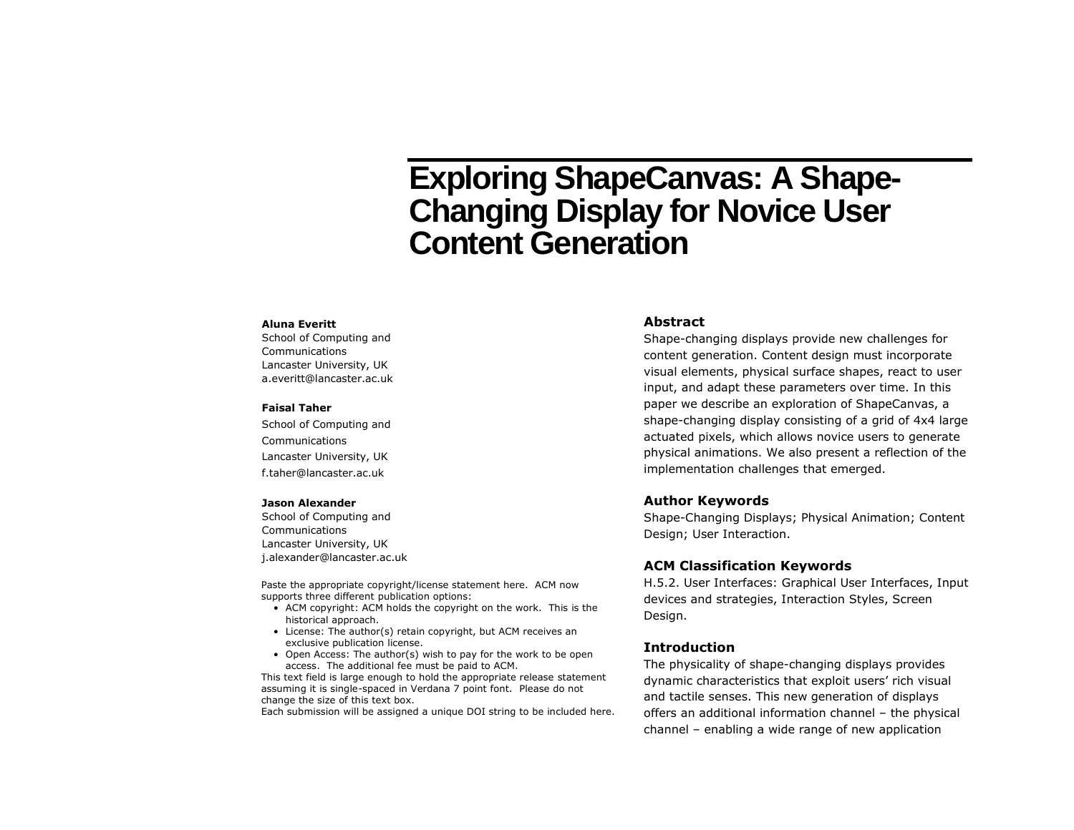# **Exploring ShapeCanvas: A Shape-Changing Display for Novice User Content Generation**

#### **Aluna Everitt**

School of Computing and Communications Lancaster University, UK a.everitt@lancaster.ac.uk

#### **Faisal Taher**

School of Computing and Communications Lancaster University, UK f.taher@lancaster.ac.uk

#### **Jason Alexander**

School of Computing and Communications Lancaster University, UK j.alexander@lancaster.ac.uk

Paste the appropriate copyright/license statement here. ACM now supports three different publication options:

- ACM copyright: ACM holds the copyright on the work. This is the historical approach.
- License: The author(s) retain copyright, but ACM receives an exclusive publication license.
- Open Access: The author(s) wish to pay for the work to be open access. The additional fee must be paid to ACM.

This text field is large enough to hold the appropriate release statement assuming it is single-spaced in Verdana 7 point font. Please do not change the size of this text box.

Each submission will be assigned a unique DOI string to be included here.

### **Abstract**

Shape-changing displays provide new challenges for content generation. Content design must incorporate visual elements, physical surface shapes, react to user input, and adapt these parameters over time. In this paper we describe an exploration of ShapeCanvas, a shape-changing display consisting of a grid of 4x4 large actuated pixels, which allows novice users to generate physical animations. We also present a reflection of the implementation challenges that emerged.

#### **Author Keywords**

Shape-Changing Displays; Physical Animation; Content Design; User Interaction.

#### **ACM Classification Keywords**

H.5.2. User Interfaces: Graphical User Interfaces, Input devices and strategies, Interaction Styles, Screen Design.

#### **Introduction**

The physicality of shape-changing displays provides dynamic characteristics that exploit users' rich visual and tactile senses. This new generation of displays offers an additional information channel – the physical channel – enabling a wide range of new application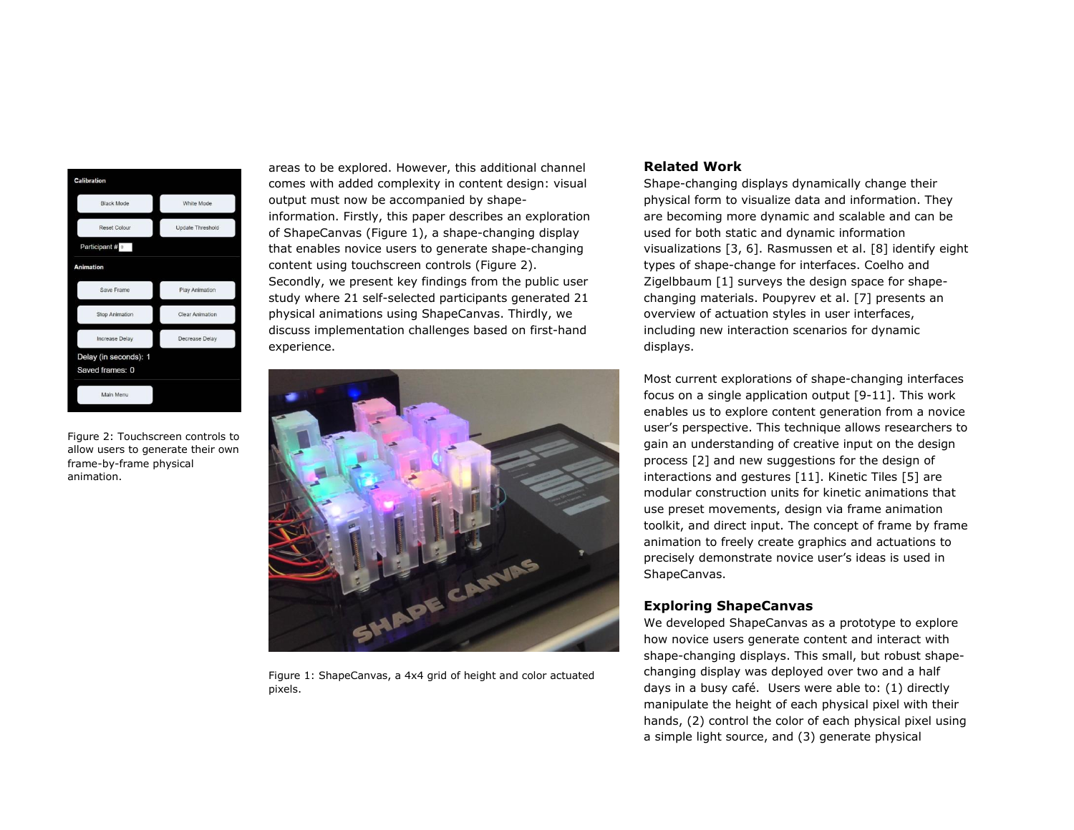| <b>Calibration</b>    |                         |
|-----------------------|-------------------------|
| <b>Black Mode</b>     | White Mode              |
| <b>Reset Colour</b>   | <b>Update Threshold</b> |
| Participant # 0       |                         |
| <b>Animation</b>      |                         |
| Save Frame            | <b>Play Animation</b>   |
| <b>Stop Animation</b> | <b>Clear Animation</b>  |
| Increase Delay        | Decrease Delay          |
| Delay (in seconds): 1 |                         |
| Saved frames: 0       |                         |
| Main Menu             |                         |

<span id="page-1-0"></span>Figure 2: Touchscreen controls to allow users to generate their own frame-by-frame physical animation.

areas to be explored. However, this additional channel comes with added complexity in content design: visual output must now be accompanied by shapeinformation. Firstly, this paper describes an exploration of ShapeCanvas [\(Figure 1\)](#page-1-0), a shape-changing display that enables novice users to generate shape-changing content using touchscreen controls (Figure 2). Secondly, we present key findings from the public user study where 21 self-selected participants generated 21 physical animations using ShapeCanvas. Thirdly, we discuss implementation challenges based on first-hand experience.



Figure 1: ShapeCanvas, a 4x4 grid of height and color actuated pixels.

## **Related Work**

Shape-changing displays dynamically change their physical form to visualize data and information. They are becoming more dynamic and scalable and can be used for both static and dynamic information visualizations [3, 6]. Rasmussen et al. [8] identify eight types of shape-change for interfaces. Coelho and Zigelbbaum [1] surveys the design space for shapechanging materials. Poupyrev et al. [7] presents an overview of actuation styles in user interfaces, including new interaction scenarios for dynamic displays.

Most current explorations of shape-changing interfaces focus on a single application output [9-11]. This work enables us to explore content generation from a novice user's perspective. This technique allows researchers to gain an understanding of creative input on the design process [2] and new suggestions for the design of interactions and gestures [11]. Kinetic Tiles [5] are modular construction units for kinetic animations that use preset movements, design via frame animation toolkit, and direct input. The concept of frame by frame animation to freely create graphics and actuations to precisely demonstrate novice user's ideas is used in ShapeCanvas.

# **Exploring ShapeCanvas**

We developed ShapeCanvas as a prototype to explore how novice users generate content and interact with shape-changing displays. This small, but robust shapechanging display was deployed over two and a half days in a busy café. Users were able to: (1) directly manipulate the height of each physical pixel with their hands, (2) control the color of each physical pixel using a simple light source, and (3) generate physical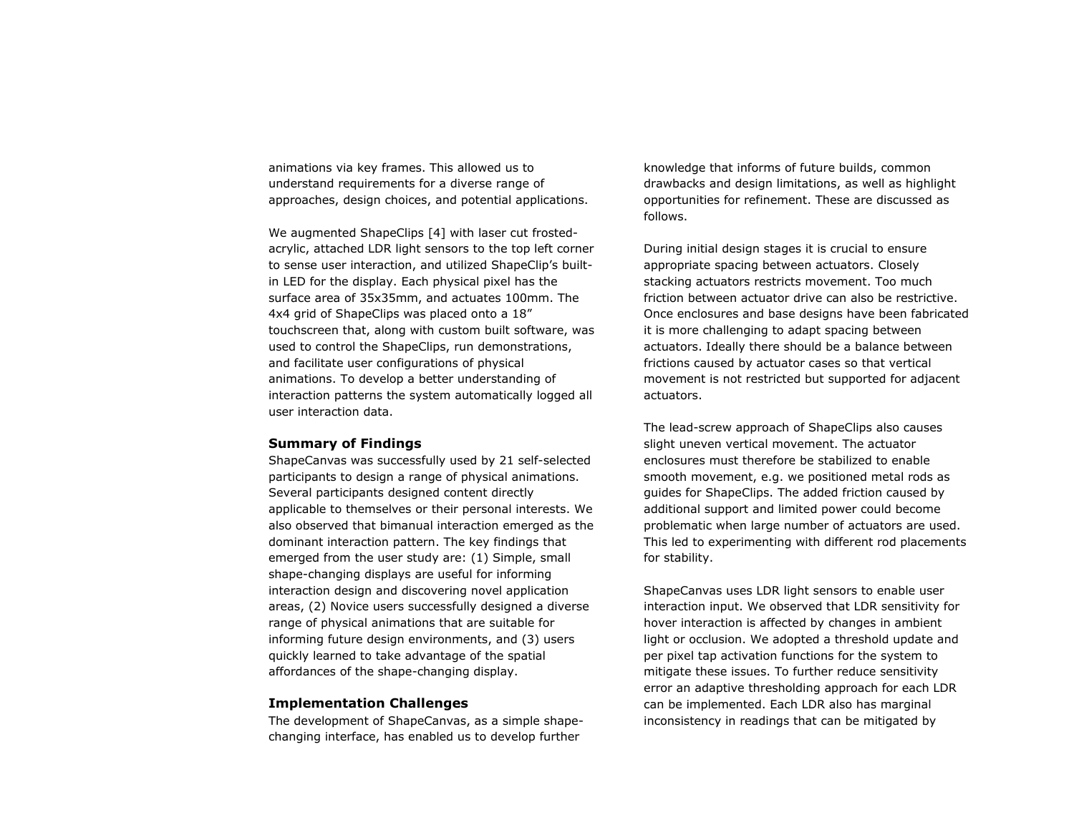animations via key frames. This allowed us to understand requirements for a diverse range of approaches, design choices, and potential applications.

We augmented ShapeClips [4] with laser cut frostedacrylic, attached LDR light sensors to the top left corner to sense user interaction, and utilized ShapeClip's builtin LED for the display. Each physical pixel has the surface area of 35x35mm, and actuates 100mm. The 4x4 grid of ShapeClips was placed onto a 18" touchscreen that, along with custom built software, was used to control the ShapeClips, run demonstrations, and facilitate user configurations of physical animations. To develop a better understanding of interaction patterns the system automatically logged all user interaction data.

#### **Summary of Findings**

ShapeCanvas was successfully used by 21 self-selected participants to design a range of physical animations. Several participants designed content directly applicable to themselves or their personal interests. We also observed that bimanual interaction emerged as the dominant interaction pattern. The key findings that emerged from the user study are: (1) Simple, small shape-changing displays are useful for informing interaction design and discovering novel application areas, (2) Novice users successfully designed a diverse range of physical animations that are suitable for informing future design environments, and (3) users quickly learned to take advantage of the spatial affordances of the shape-changing display.

#### **Implementation Challenges**

The development of ShapeCanvas, as a simple shapechanging interface, has enabled us to develop further

knowledge that informs of future builds, common drawbacks and design limitations, as well as highlight opportunities for refinement. These are discussed as follows.

During initial design stages it is crucial to ensure appropriate spacing between actuators. Closely stacking actuators restricts movement. Too much friction between actuator drive can also be restrictive. Once enclosures and base designs have been fabricated it is more challenging to adapt spacing between actuators. Ideally there should be a balance between frictions caused by actuator cases so that vertical movement is not restricted but supported for adjacent actuators.

The lead-screw approach of ShapeClips also causes slight uneven vertical movement. The actuator enclosures must therefore be stabilized to enable smooth movement, e.g. we positioned metal rods as guides for ShapeClips. The added friction caused by additional support and limited power could become problematic when large number of actuators are used. This led to experimenting with different rod placements for stability.

ShapeCanvas uses LDR light sensors to enable user interaction input. We observed that LDR sensitivity for hover interaction is affected by changes in ambient light or occlusion. We adopted a threshold update and per pixel tap activation functions for the system to mitigate these issues. To further reduce sensitivity error an adaptive thresholding approach for each LDR can be implemented. Each LDR also has marginal inconsistency in readings that can be mitigated by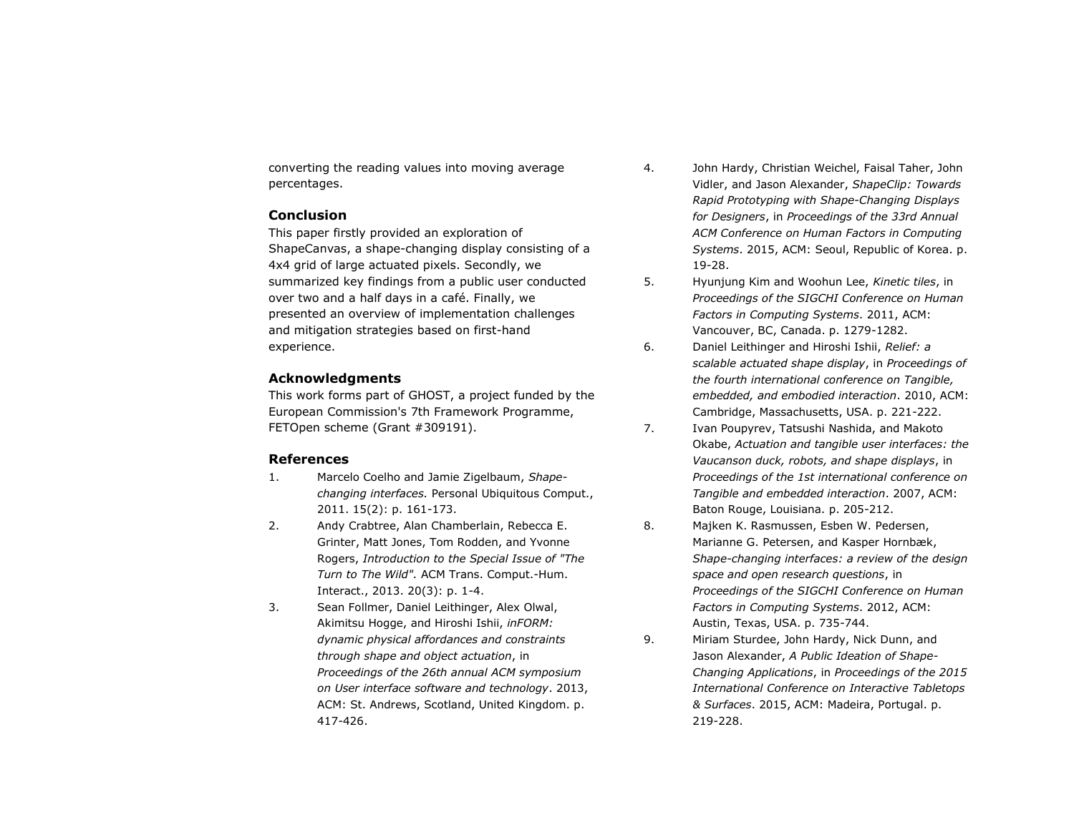converting the reading values into moving average percentages.

## **Conclusion**

This paper firstly provided an exploration of ShapeCanvas, a shape-changing display consisting of a 4x4 grid of large actuated pixels. Secondly, we summarized key findings from a public user conducted over two and a half days in a café. Finally, we presented an overview of implementation challenges and mitigation strategies based on first-hand experience.

# **Acknowledgments**

This work forms part of GHOST, a project funded by the European Commission's 7th Framework Programme, FETOpen scheme (Grant #309191).

## **References**

- 1. Marcelo Coelho and Jamie Zigelbaum, *Shapechanging interfaces.* Personal Ubiquitous Comput., 2011. 15(2): p. 161-173.
- 2. Andy Crabtree, Alan Chamberlain, Rebecca E. Grinter, Matt Jones, Tom Rodden, and Yvonne Rogers, *Introduction to the Special Issue of "The Turn to The Wild".* ACM Trans. Comput.-Hum. Interact., 2013. 20(3): p. 1-4.
- 3. Sean Follmer, Daniel Leithinger, Alex Olwal, Akimitsu Hogge, and Hiroshi Ishii, *inFORM: dynamic physical affordances and constraints through shape and object actuation*, in *Proceedings of the 26th annual ACM symposium on User interface software and technology*. 2013, ACM: St. Andrews, Scotland, United Kingdom. p. 417-426.
- 4. John Hardy, Christian Weichel, Faisal Taher, John Vidler, and Jason Alexander, *ShapeClip: Towards Rapid Prototyping with Shape-Changing Displays for Designers*, in *Proceedings of the 33rd Annual ACM Conference on Human Factors in Computing Systems*. 2015, ACM: Seoul, Republic of Korea. p. 19-28.
- 5. Hyunjung Kim and Woohun Lee, *Kinetic tiles*, in *Proceedings of the SIGCHI Conference on Human Factors in Computing Systems*. 2011, ACM: Vancouver, BC, Canada. p. 1279-1282.
- 6. Daniel Leithinger and Hiroshi Ishii, *Relief: a scalable actuated shape display*, in *Proceedings of the fourth international conference on Tangible, embedded, and embodied interaction*. 2010, ACM: Cambridge, Massachusetts, USA. p. 221-222.
- 7. Ivan Poupyrev, Tatsushi Nashida, and Makoto Okabe, *Actuation and tangible user interfaces: the Vaucanson duck, robots, and shape displays*, in *Proceedings of the 1st international conference on Tangible and embedded interaction*. 2007, ACM: Baton Rouge, Louisiana. p. 205-212.
- 8. Majken K. Rasmussen, Esben W. Pedersen, Marianne G. Petersen, and Kasper Hornbæk, *Shape-changing interfaces: a review of the design space and open research questions*, in *Proceedings of the SIGCHI Conference on Human Factors in Computing Systems*. 2012, ACM: Austin, Texas, USA. p. 735-744.
- 9. Miriam Sturdee, John Hardy, Nick Dunn, and Jason Alexander, *A Public Ideation of Shape-Changing Applications*, in *Proceedings of the 2015 International Conference on Interactive Tabletops & Surfaces*. 2015, ACM: Madeira, Portugal. p. 219-228.